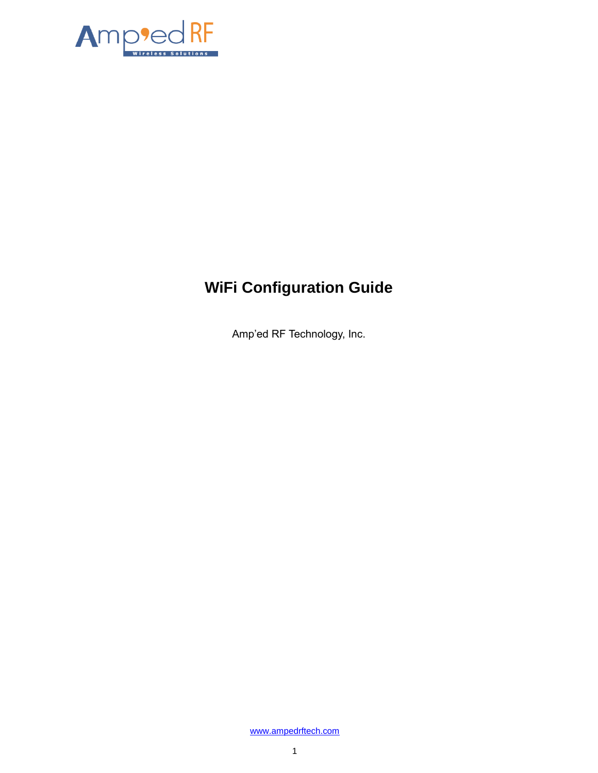

# **WiFi Configuration Guide**

Amp'ed RF Technology, Inc.

[www.ampedrftech.com](http://www.ampedrftech.com/)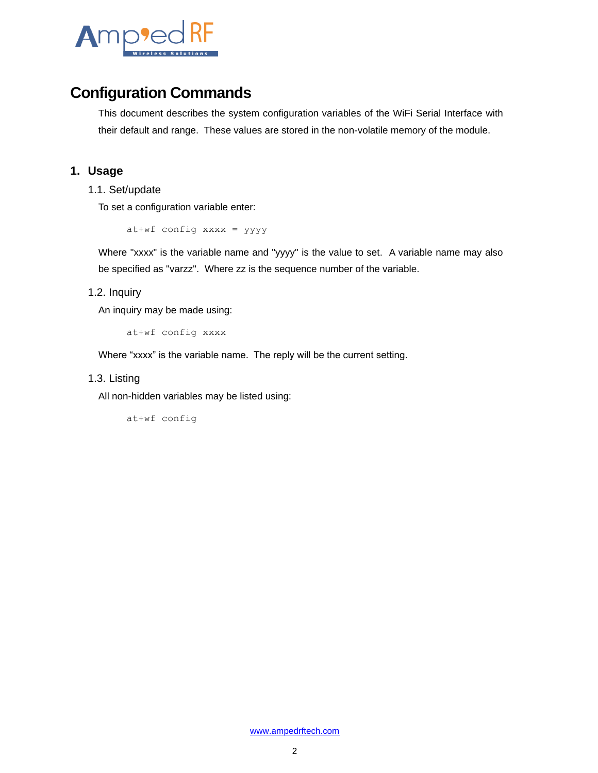

## **Configuration Commands**

This document describes the system configuration variables of the WiFi Serial Interface with their default and range. These values are stored in the non-volatile memory of the module.

#### **1. Usage**

1.1. Set/update

To set a configuration variable enter:

at+wf config xxxx = yyyy

Where "xxxx" is the variable name and "yyyy" is the value to set. A variable name may also be specified as "varzz". Where zz is the sequence number of the variable.

#### 1.2. Inquiry

An inquiry may be made using:

at+wf config xxxx

Where "xxxx" is the variable name. The reply will be the current setting.

1.3. Listing

All non-hidden variables may be listed using:

at+wf config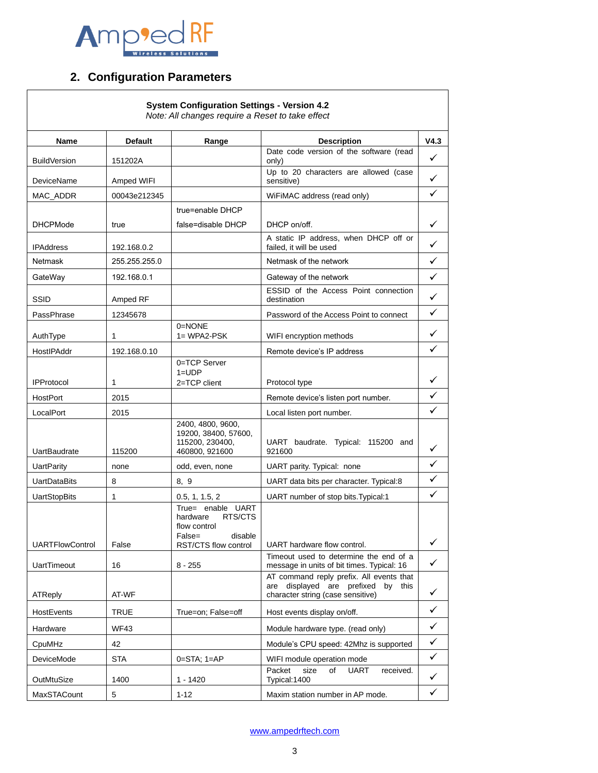

### **2. Configuration Parameters**

#### **System Configuration Settings - Version 4.2**

*Note: All changes require a Reset to take effect*

| Name                   | <b>Default</b> | Range                                                                                                 | <b>Description</b>                                                                                                     | V4.3         |  |  |  |
|------------------------|----------------|-------------------------------------------------------------------------------------------------------|------------------------------------------------------------------------------------------------------------------------|--------------|--|--|--|
| <b>BuildVersion</b>    | 151202A        |                                                                                                       | Date code version of the software (read<br>only)                                                                       | $\checkmark$ |  |  |  |
| DeviceName             | Amped WIFI     |                                                                                                       | Up to 20 characters are allowed (case<br>sensitive)                                                                    | $\checkmark$ |  |  |  |
| MAC_ADDR               | 00043e212345   |                                                                                                       | WiFiMAC address (read only)                                                                                            | ✓            |  |  |  |
|                        |                | true=enable DHCP                                                                                      |                                                                                                                        |              |  |  |  |
| <b>DHCPMode</b>        | true           | false=disable DHCP                                                                                    | DHCP on/off.                                                                                                           | ✓            |  |  |  |
| <b>IPAddress</b>       | 192.168.0.2    |                                                                                                       | A static IP address, when DHCP off or<br>failed, it will be used                                                       | ✓            |  |  |  |
| Netmask                | 255.255.255.0  |                                                                                                       | Netmask of the network                                                                                                 | ✓            |  |  |  |
| GateWay                | 192.168.0.1    |                                                                                                       | Gateway of the network                                                                                                 | $\checkmark$ |  |  |  |
| SSID                   | Amped RF       |                                                                                                       | ESSID of the Access Point connection<br>destination                                                                    | ✓            |  |  |  |
| PassPhrase             | 12345678       |                                                                                                       | Password of the Access Point to connect                                                                                | ✓            |  |  |  |
| AuthType               | 1              | 0=NONE<br>$1 = WPA2-PSK$                                                                              | WIFI encryption methods                                                                                                | $\checkmark$ |  |  |  |
| HostlPAddr             | 192.168.0.10   |                                                                                                       | Remote device's IP address                                                                                             | $\checkmark$ |  |  |  |
| <b>IPProtocol</b>      | 1              | 0=TCP Server<br>$1 = UDP$<br>2=TCP client                                                             | Protocol type                                                                                                          | ✓            |  |  |  |
| HostPort               | 2015           |                                                                                                       | Remote device's listen port number.                                                                                    | ✓            |  |  |  |
| LocalPort              | 2015           |                                                                                                       | Local listen port number.                                                                                              | $\checkmark$ |  |  |  |
| <b>UartBaudrate</b>    | 115200         | 2400, 4800, 9600,<br>19200, 38400, 57600,<br>115200, 230400,<br>460800, 921600                        | UART baudrate. Typical: 115200 and<br>921600                                                                           | ✓            |  |  |  |
| <b>UartParity</b>      | none           | odd, even, none                                                                                       | UART parity. Typical: none                                                                                             | ✓            |  |  |  |
| <b>UartDataBits</b>    | 8              | 8,9                                                                                                   | UART data bits per character. Typical:8                                                                                | ✓            |  |  |  |
| <b>UartStopBits</b>    | 1              | 0.5, 1, 1.5, 2                                                                                        | UART number of stop bits. Typical: 1                                                                                   | ✓            |  |  |  |
| <b>UARTFlowControl</b> | False          | True= enable UART<br>hardware<br>RTS/CTS<br>flow control<br>False=<br>disable<br>RST/CTS flow control | UART hardware flow control.                                                                                            | ✓            |  |  |  |
| <b>UartTimeout</b>     | 16             | $8 - 255$                                                                                             | Timeout used to determine the end of a<br>message in units of bit times. Typical: 16                                   | $\checkmark$ |  |  |  |
| ATReply                | AT-WF          |                                                                                                       | AT command reply prefix. All events that<br>are displayed are prefixed<br>by this<br>character string (case sensitive) | ✓            |  |  |  |
| HostEvents             | TRUE           | True=on; False=off                                                                                    | Host events display on/off.                                                                                            | ✓            |  |  |  |
| Hardware               | <b>WF43</b>    |                                                                                                       | Module hardware type. (read only)                                                                                      | $\checkmark$ |  |  |  |
| CpuMHz                 | 42             |                                                                                                       | Module's CPU speed: 42Mhz is supported                                                                                 | ✓            |  |  |  |
| DeviceMode             | <b>STA</b>     | $0 = STA$ ; $1 = AP$                                                                                  | WIFI module operation mode                                                                                             | ✓            |  |  |  |
| OutMtuSize             | 1400           | $1 - 1420$                                                                                            | Packet<br>size<br>οf<br><b>UART</b><br>received.<br>Typical: 1400                                                      | ✓            |  |  |  |
| MaxSTACount            | 5              | $1 - 12$                                                                                              | Maxim station number in AP mode.                                                                                       | ✓            |  |  |  |